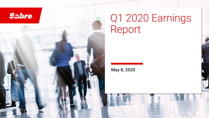

# Q1 2020 Earnings Report

*©2020 Sabre GLBL Inc. All rights reserved.* 1

**May 8, 2020**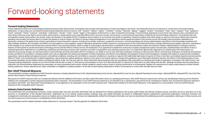#### Forward-looking statements

#### **Forward-looking Statements**

Certain statements herein are forward-looking statements about trends, future events, uncertainties and our plans and expectations of what may happen in the future. Any statements that are not historical or current facts a statements. In many cases, you can identify forward-looking statements by terms such as "will," "position," "believe," "expect," "confident," "unway," "estimate," "appear," "suggest," "project," "uncertainty," "hope," "pla "trend," "potential," "intend," "continue," "anticipate," "preliminary," "should," "could," "could," "would," "target" or the negative of these terms or other comparable terminology. Forward-looking statements involve know other factors that may cause Sabre's actual results, performance or achievements to be materially different from any future results, performances or achievements expressed or implied by the forward-looking statements. The uncertainties include, among others, the severity, extent and duration of the global COVID-19 pandemic and its impact on our business and results of operations, financial condition and credit ratings, as well as on the tra spending more broadly, the actions taken to contain the disease or treat its impact, the effect of remote working arrangements on our operations and the speed and extent of the recovery across the broader travel ecosystem, transaction volumes in the global travel industry, particularly air travel transaction volumes, including from airlines' insolvency, suspension of service or aircraft groundings, the timing, implementation and effects of t other strategic initiatives, the completion and effects of travel platforms, travel suppliers' usage of alternative distribution models, exposure to pricing pressure in the Travel Network business, changes affecting travel of the integrity of our systems and infrastructure and the effect of any security breaches, failure to adapt to technological advancements, competition in the travel distribution market and solutions markets, implementatio reliance on third parties to provide information technology services and the effects of these services, the finalization of an agreement to implement a full-service property management system, the execution, implementation renewed agreements, dependence on establishing, maintaining and renewing contracts with customers and other counterparties and collecting amounts due to us under these agreements, dependence on relationships with travel bu collection, processing, storage, use and transmission of personal data and risks associated with PCI compliance, our ability to recruit, train and retain employees, including our key executive officers and technical employ results and effects of acquisitions, including related costs, and, as applicable, the closing and integration of these acquisitions, the effects of any litigation and regulatory reviews and investigations, including with r acquisitions, adverse global and regional economic and political conditions, including, but not limited to, economic conditions in countries or regions with traditionally high levels of exports to China or that have commod effect of "Brexit" and uncertainty due to related negotiations, risks arising from global operations, reliance on the value of our brands, failure to comply with regulations, use of third-party distributor partners, the ef accounting standards, and tax-related matters, including the effects of the Tax Cuts and Jobs Act. More information about potential risks and uncertainties that could affect our business and results of operations is includ "Forward-Looking Statements" sections in our Form 8-K filed with the SEC on April 13, 2020 and our Annual Report on Form 10-K filed with the SEC on February 26, 2020 and in our other filings with the SEC. Although we belie reflected in the forward-looking statements are reasonable, we cannot quarantee future events, outlook, quidance, results, actions, levels of activity, performance or achievements. Readers are cautioned not to place undue looking statements. Unless required by law, Sabre undertakes no obligation to publicly update or revise any forward-looking statements to reflect circumstances or events after the date they are made.

#### **Non-GAAP Financial Measures**

This presentation includes unaudited non-GAAP financial measures, including Adjusted Gross Profit, Adjusted Operating (Loss) Income, Adjusted Net (Loss) Income, Adjusted Operating Income margin, Adjusted EBITDA, Adjusted E and the ratios based on these financial measures.

We present non-GAAP measures when our management believes that the additional information provides useful information about our operating performance. Non-GAAP financial measures do not have any standardized meaning and ar unlikely to be comparable to similar measures presented by other companies. The presentation of non-GAAP financial measures is not intended to be a substitute for, and should not be considered in isolation from, the financ accordance with GAAP. See "Non-GAAP Financial Measures" in the appendix for an explanation of the non-GAAP measures and "Tabular Reconciliations for Non-GAAP Measures" in the appendix for a reconciliation of the non-GAAP f measures to the comparable GAAP measures.

#### **Industry Data/Certain Definitions**

This presentation and accompanying comments contain industry data, forecasts and other information that we obtained from industry publications and surveys, public filings and internal company sources, and there can be no a accuracy or completeness of the included information. Statements as to our ranking, market position, bookings share and market estimates are based on independent industry publications, government publications, third-party management's estimates and assumptions about our markets and our internal research. We have not independently verified this third-party information nor have we ascertained the underlying economic assumptions relied upon in we cannot assure you of the accuracy or completeness of this information.

This presentation and the related materials include references to "recurring revenue." See the appendix for additional information.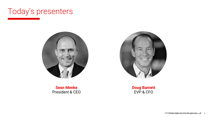





**Sean Menke** President & CEO **Doug Barnett** EVP & CFO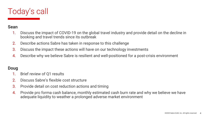

#### **Sean**

- 1. Discuss the impact of COVID-19 on the global travel industry and provide detail on the decline in booking and travel trends since its outbreak
- 2. Describe actions Sabre has taken in response to this challenge
- 3. Discuss the impact these actions will have on our technology investments
- 4. Describe why we believe Sabre is resilient and well-positioned for a post-crisis environment

#### **Doug**

- Brief review of Q1 results
- 2. Discuss Sabre's flexible cost structure
- 3. Provide detail on cost reduction actions and timing
- 4. Provide pro forma cash balance, monthly estimated cash burn rate and why we believe we have adequate liquidity to weather a prolonged adverse market environment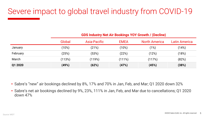### Severe impact to global travel industry from COVID-19

|          | <b>GDS Industry Net Air Bookings YOY Growth / (Decline)</b> |              |             |                      |               |  |  |
|----------|-------------------------------------------------------------|--------------|-------------|----------------------|---------------|--|--|
|          | Global                                                      | Asia-Pacific | <b>EMEA</b> | <b>North America</b> | Latin America |  |  |
| January  | $^{\prime}$ 10%)                                            | (21%)        | (10%)       | (1%)                 | (14%)         |  |  |
| February | (25%)                                                       | (53%)        | (22%)       | (12%)                | (18%)         |  |  |
| March    | (113%)                                                      | (119%)       | (111%)      | (117%)               | (82%)         |  |  |
| Q1 2020  | (49%)                                                       | (62%)        | (47%)       | (45%)                | (38%)         |  |  |

- Sabre's "new" air bookings declined by 8%, 17% and 70% in Jan, Feb, and Mar; Q1 2020 down 32%
- Sabre's net air bookings declined by 9%, 23%, 111% in Jan, Feb, and Mar due to cancellations; Q1 2020 down 47%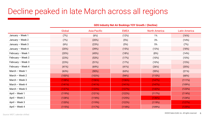### Decline peaked in late March across all regions

|                   | Global | Asia-Pacific | <b>EMEA</b> | <b>North America</b> | <b>Latin America</b> |  |  |
|-------------------|--------|--------------|-------------|----------------------|----------------------|--|--|
| January - Week 1  | (7%)   | (6%)         | (12%)       | 1%                   | (16%)                |  |  |
| January - Week 2  | (7%)   | (20%)        | (5%)        | 3%                   | (14%)                |  |  |
| January - Week 3  | (6%)   | (23%)        | (5%)        | 5%                   | (7%)                 |  |  |
| January - Week 4  | (20%)  | (39%)        | (15%)       | (13%)                | (18%)                |  |  |
| February - Week 1 | (20%)  | (45%)        | (18%)       | (8%)                 | (14%)                |  |  |
| February - Week 2 | (23%)  | (53%)        | (17%)       | (10%)                | (10%)                |  |  |
| February - Week 3 | (23%)  | (51%)        | (17%)       | (10%)                | (15%)                |  |  |
| February - Week 4 | (41%)  | (69%)        | (41%)       | (26%)                | (35%)                |  |  |
| March - Week 1    | (63%)  | (90%)        | (63%)       | (55%)                | (21%)                |  |  |
| March - Week 2    | (100%) | (103%)       | (94%)       | (110%)               | (68%)                |  |  |
| March $-$ Week 3  | (138%) | (136%)       | (136%)      | (147%)               | (111%)               |  |  |
| March - Week 4    | (141%) | (141%)       | (141%)      | (147%)               | (109%)               |  |  |
| March $-$ Week 5  | (137%) | (133%)       | (137%)      | (142%)               | (123%)               |  |  |
| April - Week 1    | (119%) | (121%)       | (122%)      | (117%)               | (114%)               |  |  |
| April - Week 2    | (128%) | (118%)       | (125%)      | (136%)               | (124%)               |  |  |
| April - Week 3    | (120%) | (119%)       | (122%)      | (119%)               | (127%)               |  |  |
| April - Week 4    | (115%) | (117%)       | (118%)      | (109%)               | (125%)               |  |  |

**GDS Industry Net Air Bookings YOY Growth / (Decline)**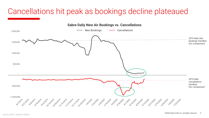### Cancellations hit peak as bookings decline plateaued

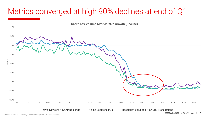### Metrics converged at high 90% declines at end of Q1

40%

**Sabre Key Volume Metrics YOY Growth (Decline)**

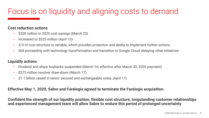### Focus is on liquidity and aligning costs to demand

#### **Cost reduction actions**

- \$200 million in 2020 cost savings (March 20)
- Increased to \$325 million (April 13)
- 2/3 of cost structure is variable, which provides protection and ability to implement further actions
- Still proceeding with technology transformation and transition to Google Cloud; delaying other initiatives

#### **Liquidity actions**

- Dividend and share buybacks suspended (March 16; effective after March 30, 2020 payment)
- \$375 million revolver draw-down (March 17)
- \$1.1 billion raised in senior secured and exchangeable notes (April 17)

#### **Effective May 1, 2020, Sabre and Farelogix agreed to terminate the Farelogix acquisition.**

**Confident the strength of our liquidity position, flexible cost structure, longstanding customer relationships and experienced management team will allow Sabre to endure this period of prolonged uncertainty**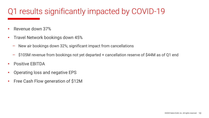### Q1 results significantly impacted by COVID-19

- Revenue down 37%
- Travel Network bookings down 45%
	- New air bookings down 32%; significant impact from cancellations
	- \$105M revenue from bookings not yet departed + cancellation reserve of \$44M as of Q1 end
- Positive EBITDA
- Operating loss and negative EPS
- Free Cash Flow generation of \$12M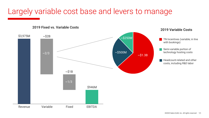## Largely variable cost base and levers to manage

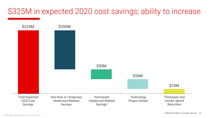### \$325M in expected 2020 cost savings; ability to increase

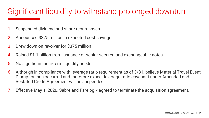### Significant liquidity to withstand prolonged downturn

- Suspended dividend and share repurchases
- Announced \$325 million in expected cost savings
- 3. Drew down on revolver for \$375 million
- Raised \$1.1 billion from issuance of senior secured and exchangeable notes
- 5. No significant near-term liquidity needs
- 6. Although in compliance with leverage ratio requirement as of 3/31, believe Material Travel Event Disruption has occurred and therefore expect leverage ratio covenant under Amended and Restated Credit Agreement will be suspended
- 7. Effective May 1, 2020, Sabre and Farelogix agreed to terminate the acquisition agreement.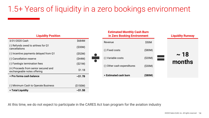### 1.5+ Years of liquidity in a zero bookings environment

| <b>Liquidity Position</b>                                           |               |  |  |  |  |
|---------------------------------------------------------------------|---------------|--|--|--|--|
| 3/31/2020 Cash                                                      | \$684M        |  |  |  |  |
| (-) Refunds owed to airlines for Q1<br>cancellations                | (S30M)        |  |  |  |  |
| (-) Incentive payments delayed from Q1                              | ( \$52M)      |  |  |  |  |
| (-) Cancellation reserve                                            | (\$44M)       |  |  |  |  |
| (-) Farelogix termination fees                                      | (S21M)        |  |  |  |  |
| (+) Proceeds from senior secured and<br>exchangeable notes offering | \$1.1B        |  |  |  |  |
| = Pro forma cash balance                                            | $\sim$ \$1.7B |  |  |  |  |
|                                                                     |               |  |  |  |  |
| (-) Minimum Cash to Operate Business                                | (\$150M)      |  |  |  |  |
| = Total Liquidity                                                   | $\sim$ \$1.5B |  |  |  |  |



At this time, we do not expect to participate in the CARES Act loan program for the aviation industry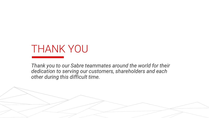## THANK YOU

*Thank you to our Sabre teammates around the world for their dedication to serving our customers, shareholders and each other during this difficult time.*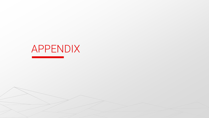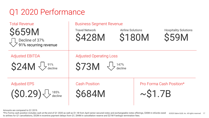### Q1 2020 Performance

| <b>Total Revenue</b>                                               | <b>Business Segment Revenue</b>                                |                                           |                                              |  |  |  |  |
|--------------------------------------------------------------------|----------------------------------------------------------------|-------------------------------------------|----------------------------------------------|--|--|--|--|
| <b>\$659M</b><br>Decline of 37%<br>$\bigvee$ 91% recurring revenue | <b>Travel Network</b><br><b>\$428M</b>                         | <b>Airline Solutions</b><br><b>\$180M</b> | <b>Hospitality Solutions</b><br><b>\$59M</b> |  |  |  |  |
| <b>Adjusted EBITDA</b><br>$$24M \bigvee$ <sup>91%</sup>            | <b>Adjusted Operating Loss</b><br>$$73M < \frac{1}{4}$ decline |                                           |                                              |  |  |  |  |
|                                                                    |                                                                |                                           |                                              |  |  |  |  |
| <b>Adjusted EPS</b><br>$(S0.29)$ $\bigcup_{\text{decline}}$        | <b>Cash Position</b><br><b>S684M</b>                           | $\sim$ \$1.7B                             | Pro Forma Cash Position*                     |  |  |  |  |

Amounts are compared to Q1 2019.

*©2020 Sabre GLBL Inc. All rights reserved.* 17 *©2020 Sabre GLBL Inc. All rights reserved.* 17 \*Pro Forma cash position includes cash at the end of Q1 2020 as well as \$1.1B from April senior secured notes and exchangeable notes offerings, \$30M in refunds owed to airlines for Q1 cancellations, \$52M in incentive payment delays from Q1, \$44M in cancellation reserve and \$21M Farelogix termination fees.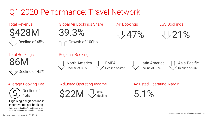### Q1 2020 Performance: Travel Network

| <b>Total Revenue</b><br><b>\$428M</b><br>$\bigcup$ Decline of 45%                                                                                            | <b>Global Air Bookings Share</b><br>39.3%<br>Growth of 100bp                                                                                                             | <b>Air Bookings</b><br>547% | <b>LGS Bookings</b><br>721%      |  |  |  |  |
|--------------------------------------------------------------------------------------------------------------------------------------------------------------|--------------------------------------------------------------------------------------------------------------------------------------------------------------------------|-----------------------------|----------------------------------|--|--|--|--|
| <b>Total Bookings</b><br>86M<br>Decline of 45%                                                                                                               | <b>Regional Bookings</b><br><b>North America</b><br><b>Latin America</b><br>Asia-Pacific<br>EMEA<br>Decline of 42%<br>Decline of 39%<br>Decline of 39%<br>Decline of 63% |                             |                                  |  |  |  |  |
| <b>Average Booking Fee</b><br>Decline of<br>4pts<br>High single digit decline in<br>incentive fee per booking<br>Note: average booking fee and incentive fee | <b>Adjusted Operating Income</b><br><b>S22M</b><br>89%<br>decline                                                                                                        | 5.1%                        | <b>Adjusted Operating Margin</b> |  |  |  |  |

impacted by significant cancellation activity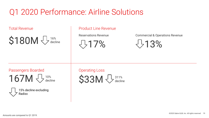### Q1 2020 Performance: Airline Solutions

 $$180M  $\sqrt{\frac{16\%}{\text{decline}}}$   $\sqrt{17\%}$   $\sqrt{77\%}$   $\sqrt{77\%}$$ 16% decline

#### Total Revenue **Product Line Revenue**



#### Passengers Boarded

 $167M \bigoplus_{\text{decli}}$ decline



Operating Loss

 $$33M < \frac{1}{3}$  declin decline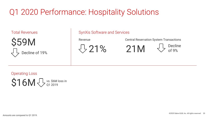### Q1 2020 Performance: Hospitality Solutions



#### Total Revenues Total Revenues All SynXis Software and Services

Revenue

 $721%$ 

Central Reservation System Transactions

 $21M$   $\frac{1}{2}$   $\frac{3}{2}$  Decline

of 9%

Operating Loss \$16M  $\bigtriangledown$  vs. \$6M loss in Q1 2019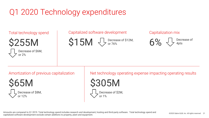## Q1 2020 Technology expenditures

Total technology spend

\$255M Decrease of \$6M, or 2%

#### Capitalized software development

\$15M  $\bigcup_{\text{or 76%}}$  Decrease of \$12M, or 76%

#### Capitalization mix



Amortization of previous capitalization

\$65M becrease of \$8M, or 12%

Net technology operating expense impacting operating results

\$305M Decrease of \$2M, or 1%

Amounts are compared to Q1 2019. Total technology spend includes research and development, hosting and third-party software. Total technology spend and capitalized software development exclude certain additions to property, plant and equipment.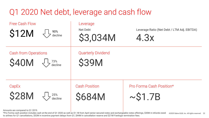### Q1 2020 Net debt, leverage and cash flow

| <b>Free Cash Flow</b><br><b>\$12M</b>      | 90%<br>decline                                                 | Leverage<br>Net Debt<br>\$3,034M          | Leverage Ratio (Net Debt / LTM Adj. EBITDA)<br>4.3x |
|--------------------------------------------|----------------------------------------------------------------|-------------------------------------------|-----------------------------------------------------|
| <b>Cash from Operations</b><br><b>S40M</b> | $\begin{array}{c} \begin{array}{c} \end{array}$ 73%<br>decline | <b>Quarterly Dividend</b><br><b>\$39M</b> |                                                     |
| CapEx<br><b>\$28M</b>                      | $\frac{25\%}{\text{ decline}}$                                 | <b>Cash Position</b><br><b>\$684M</b>     | Pro Forma Cash Position*<br>$\sim$ \$1.7B           |

Amounts are compared to Q1 2019.

*©2020 Sabre GLBL Inc. All rights reserved.* 22 *©2020 Sabre GLBL Inc. All rights reserved.* 22 \*Pro Forma cash position includes cash at the end of Q1 2020 as well as \$1.1B from April senior secured notes and exchangeable notes offerings, \$30M in refunds owed to airlines for Q1 cancellations, \$52M in incentive payment delays from Q1, \$44M in cancellation reserve and \$21M Farelogix termination fees.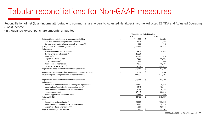Reconciliation of net (loss) income attributable to common shareholders to Adjusted Net (Loss) Income, Adjusted EBITDA and Adjusted Operating (Loss) Income

(in thousands, except per share amounts; unaudited)

|                                                                         | Three Months Ended March 31, |           |                     |          |  |
|-------------------------------------------------------------------------|------------------------------|-----------|---------------------|----------|--|
|                                                                         |                              | 2020      |                     | 2019     |  |
| Net (loss) income attributable to common stockholders                   | \$                           | (212,680) | \$                  | 56,850   |  |
| Loss from discontinued operations, net of tax                           |                              | 2,126     |                     | 1,452    |  |
| Net income attributable to non-controlling interests <sup>(1)</sup>     |                              | 783       |                     | 912      |  |
| (Loss) Income from continuing operations                                |                              | (209,771) |                     | 59,214   |  |
| Adjustments:                                                            |                              |           |                     |          |  |
| Acquisition-related amortization <sup>(2a)</sup>                        |                              | 16,801    |                     | 15,984   |  |
| Restructuring and other costs <sup>(8)</sup>                            |                              | 25,281    |                     |          |  |
| Other, $net(4)$                                                         |                              | 47,486    |                     | 1,870    |  |
| Acquisition-related costs <sup>(6)</sup>                                |                              | 17,827    |                     | 11,706   |  |
| Litigation costs, net <sup>(5)</sup>                                    |                              | 1,741     |                     | 1,438    |  |
| Stock-based compensation                                                |                              | 17,577    |                     | 15,694   |  |
| Tax impact of adjustments <sup>(7)</sup>                                |                              | 3,082     |                     | (11,707) |  |
| Adjusted Net (Loss) Income from continuing operations                   |                              | (79, 976) | \$                  | 94,199   |  |
| Adjusted Net (Loss) Income from continuing operations per share         | \$                           | (0.29)    | \$                  | 0.34     |  |
| Diluted weighted-average common shares outstanding                      |                              | 274,037   |                     | 277,605  |  |
| Adjusted Net (Loss) Income from continuing operations<br>Adjustments:   | \$                           | (79, 976) | \$                  | 94,199   |  |
| Depreciation and amortization of property and equipment <sup>(2b)</sup> |                              | 69,513    |                     | 75,348   |  |
| Amortization of capitalized implementation costs <sup>(2c)</sup>        |                              | 9,547     |                     | 12,111   |  |
| Amortization of upfront incentive consideration(3)                      |                              | 18,213    |                     | 19,128   |  |
| Interest expense, net                                                   |                              | 37,442    |                     | 38,013   |  |
| Remaining provision for income taxes                                    |                              | (30, 336) |                     | 23,550   |  |
| Adjusted EBITDA                                                         | \$                           | 24,403    | $\hat{\mathcal{S}}$ | 262,349  |  |
| Less:                                                                   |                              |           |                     |          |  |
| Depreciation and amortization <sup>(2)</sup>                            |                              | 95,861    |                     | 103,443  |  |
| Amortization of upfront incentive consideration <sup>(3)</sup>          |                              | 18,213    |                     | 19,128   |  |
| Acquisition-related amortization(2a)                                    |                              | (16, 801) |                     | (15,984) |  |
| Adjusted Operating (Loss) Income                                        | Ŝ                            | (72, 870) | \$.                 | 155,762  |  |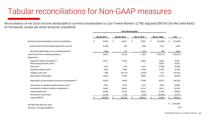Reconciliation of net (loss) income attributable to common shareholders to Last Twelve Months' (LTM) Adjusted EBITDA (for Net Debt Ratio) (in thousands, except per share amounts; unaudited)

|                                                                         | <b>Three Months Ended</b> |                              |    |              |    |              |    |            |            |            |
|-------------------------------------------------------------------------|---------------------------|------------------------------|----|--------------|----|--------------|----|------------|------------|------------|
|                                                                         |                           | Jun 30, 2019<br>Sep 30, 2019 |    | Dec 31, 2019 |    | Mar 31, 2020 |    |            | <b>LTM</b> |            |
| Net (loss) income attributable to common stockholders                   | \$                        | 27,838                       | \$ | 63,813       | Ŝ. | 10,091       | \$ | (212,680)  | Ś.         | (110, 938) |
| Loss (Income) from discontinued operations, net of tax                  |                           | (1, 350)                     |    | 596          |    | 1,068        |    | 2,126      |            | 2,440      |
| Net income attributable to non-controlling interests <sup>(1)</sup>     |                           | 1,606                        |    | 771          |    | 665          |    | 783        |            | 3,825      |
| (Loss) Income from continuing operations                                |                           | 28,094                       |    | 65,180       |    | 11,824       |    | (209, 771) |            | (104, 673) |
| Adjustments:                                                            |                           |                              |    |              |    |              |    |            |            |            |
| Acquisition-related amortization <sup>(2a)</sup>                        |                           | 16,011                       |    | 15,976       |    | 16,633       |    | 16,801     |            | 65,421     |
| Restructuring and other costs <sup>(8)</sup>                            |                           |                              |    |              |    |              |    | 25,281     |            | 25,281     |
| Other, net <sup>(4)</sup>                                               |                           | 2,479                        |    | 1,769        |    | 3,314        |    | 47,486     |            | 55,048     |
| Acquisition-related costs <sup>(6)</sup>                                |                           | 8,935                        |    | 9,696        |    | 10,700       |    | 17,827     |            | 47,158     |
| Litigation costs, net <sup>(5)</sup>                                    |                           | 1,386                        |    | (24, 179)    |    | (3,224)      |    | 1,741      |            | (24, 276)  |
| Stock-based compensation                                                |                           | 18,295                       |    | 17,094       |    | 15,802       |    | 17,577     |            | 68,768     |
| Depreciation and amortization of property and equipment <sup>(2b)</sup> |                           | 79,209                       |    | 78,060       |    | 77,956       |    | 69,513     |            | 304,738    |
| Amortization of capitalized implementation costs <sup>(2c)</sup>        |                           | 9,627                        |    | 9,579        |    | 8,127        |    | 9,547      |            | 36,880     |
| Amortization of upfront incentive consideration <sup>(3)</sup>          |                           | 19,846                       |    | 20,851       |    | 23,110       |    | 18,213     |            | 82,020     |
| Interest expense, net                                                   |                           | 39,608                       |    | 39,743       |    | 39,027       |    | 37,442     |            | 155,820    |
| Provision for income taxes                                              |                           | 12,145                       |    | 7,795        |    | 3,543        |    | (27, 254)  |            | (3,771)    |
| <b>Adjusted EBITDA</b>                                                  | S                         | 235,635                      |    | 241,564      |    | 206,812      |    | 24,403     |            | 708,414    |

Net Debt (total debt, less cash) \$ 3,033,589 Net Debt / LTM Adjusted EBITDA 4.3x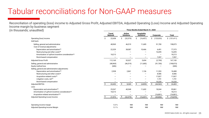**Three Months Ended March 31, 2020** Reconciliation of operating (loss) income to Adjusted Gross Profit, Adjusted EBITDA, Adjusted Operating (Loss) Income and Adjusted Operating Income margin by business segment (in thousands; unaudited)

| unaugited)                                                          | THREE MOTIONS ENGEG March 31, 2020 |                                    |                                        |                  |                  |  |  |  |
|---------------------------------------------------------------------|------------------------------------|------------------------------------|----------------------------------------|------------------|------------------|--|--|--|
|                                                                     | <b>Travel</b><br><b>Network</b>    | <b>Airline</b><br><b>Solutions</b> | <b>Hospitality</b><br><b>Solutions</b> | Corporate        | <b>Total</b>     |  |  |  |
| Operating (loss) income<br>Add back:                                | \$<br>22,658                       | \$<br>(32, 579)                    | \$<br>(16, 457)                        | \$<br>(125, 033) | \$(151, 411)     |  |  |  |
| Selling, general and administrative<br>Cost of revenue adjustments: | 48,969                             | 46,519                             | 11,685                                 | 91,700           | 198,873          |  |  |  |
| Depreciation and amortization(2)                                    | 22,329                             | 38,087                             | 10,466                                 | 6,491            | 77,373           |  |  |  |
| Restructuring and other costs <sup>(8)</sup>                        |                                    |                                    |                                        | 16,695           | 16,695           |  |  |  |
| Amortization of upfront incentive consideration(3)                  | 18,213                             |                                    |                                        |                  | 18,213           |  |  |  |
| Stock-based compensation                                            |                                    |                                    |                                        | 7,357            | 7,357            |  |  |  |
| <b>Adjusted Gross Profit</b>                                        | 112,169                            | 52,027                             | 5,694                                  | (2,790)          | 167,100          |  |  |  |
| Selling, general and administrative                                 | (48,969)                           | (46, 519)                          | (11,685)                               | (91,700)         | (198, 873)       |  |  |  |
| Equity method loss                                                  | (686)                              |                                    |                                        |                  | (686)            |  |  |  |
| Selling, general and administrative adjustments:                    |                                    |                                    |                                        |                  |                  |  |  |  |
| Depreciation and amortization <sup>(2)</sup>                        | 2,938                              | 2,861                              | 1,136                                  | 11,553           | 18,488           |  |  |  |
| Restructuring and other costs <sup>(8)</sup>                        |                                    |                                    |                                        | 8,586            | 8,586            |  |  |  |
| Acquisition-related costs(6)                                        |                                    |                                    |                                        | 17,827           | 17,827           |  |  |  |
| Litigation costs, net <sup>(5)</sup>                                |                                    |                                    |                                        | 1,741            | 1,741            |  |  |  |
| Stock-based compensation                                            |                                    |                                    |                                        | 10,220           | 10,220           |  |  |  |
| <b>Adjusted EBITDA</b>                                              | \$<br>65,452                       | \$<br>8,369                        | \$<br>(4, 855)                         | Ŝ.<br>(44, 563)  | Ŝ.<br>24,403     |  |  |  |
| Less:                                                               |                                    |                                    |                                        |                  |                  |  |  |  |
| Depreciation and amortization <sup>(2)</sup>                        | 25,267                             | 40,948                             | 11,602                                 | 18,044           | 95,861           |  |  |  |
| Amortization of upfront incentive consideration <sup>(3)</sup>      | 18,213                             |                                    |                                        |                  | 18,213           |  |  |  |
| Acquisition-related amortization(2a)                                |                                    |                                    |                                        | (16, 801)        | (16, 801)        |  |  |  |
| Adjusted Operating (Loss) Income                                    | 21,972                             | \$<br>(32, 579)                    | \$<br>(16, 457)                        | \$.<br>(45,806)  | \$.<br>(72, 870) |  |  |  |
| Operating income margin                                             | 5.3%                               | <b>NM</b>                          | <b>NM</b>                              | <b>NM</b>        | <b>NM</b>        |  |  |  |
| Adjusted Operating Income Margin                                    | 5.1%                               | <b>NM</b>                          | <b>NM</b>                              | <b>NM</b>        | <b>NM</b>        |  |  |  |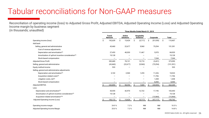Reconciliation of operating income (loss) to Adjusted Gross Profit, Adjusted EBITDA, Adjusted Operating Income (Loss) and Adjusted Operating Income margin by business segment (in thousands; unaudited)

| <u>Hauditeu)</u>                                   | Three Months Ended March 31, 2019 |           |                                    |           |                                        |           |           |           |              |            |
|----------------------------------------------------|-----------------------------------|-----------|------------------------------------|-----------|----------------------------------------|-----------|-----------|-----------|--------------|------------|
|                                                    | <b>Travel</b><br><b>Network</b>   |           | <b>Airline</b><br><b>Solutions</b> |           | <b>Hospitality</b><br><b>Solutions</b> |           | Corporate |           | <b>Total</b> |            |
| Operating income (loss)                            | Ŝ                                 | 192,639   | Ś                                  | 15,424    |                                        | (5,717)   | Ś         | (91, 939) | Ŝ.           | 110,407    |
| Add back:                                          |                                   |           |                                    |           |                                        |           |           |           |              |            |
| Selling, general and administrative                |                                   | 43,460    |                                    | 22,677    |                                        | 9,960     |           | 75,294    |              | 151,391    |
| Cost of revenue adjustments:                       |                                   |           |                                    |           |                                        |           |           |           |              |            |
| Depreciation and amortization(2)                   |                                   | 27,453    |                                    | 40,030    |                                        | 11,467    |           | 5,970     |              | 84,920     |
| Amortization of upfront incentive consideration(3) |                                   | 19,128    |                                    |           |                                        |           |           |           |              | 19,128     |
| Stock-based compensation                           |                                   |           |                                    |           |                                        |           |           | 7,244     |              | 7,244      |
| <b>Adjusted Gross Profit</b>                       |                                   | 282,680   |                                    | 78,131    |                                        | 15,710    |           | (3, 431)  |              | 373,090    |
| Selling, general and administrative                |                                   | (43, 460) |                                    | (22, 677) |                                        | (9,960)   |           | (75, 294) |              | (151, 391) |
| Equity method income                               |                                   | 533       |                                    |           |                                        |           |           |           |              | 533        |
| Selling, general and administrative adjustments:   |                                   |           |                                    |           |                                        |           |           |           |              |            |
| Depreciation and amortization(2)                   |                                   | 3,102     |                                    | 2,940     |                                        | 1,255     |           | 11,226    |              | 18,523     |
| Acquisition-related costs(6)                       |                                   |           |                                    |           |                                        |           |           | 11,706    |              | 11,706     |
| Litigation costs, net <sup>(5)</sup>               |                                   |           |                                    |           |                                        |           |           | 1,438     |              | 1,438      |
| Stock-based compensation                           |                                   |           |                                    |           |                                        |           |           | 8,450     |              | 8,450      |
| <b>Adjusted EBITDA</b>                             |                                   | 242,855   |                                    | 58,394    |                                        | 7,005     |           | (45, 905) |              | 262,349    |
| Less:                                              |                                   |           |                                    |           |                                        |           |           |           |              |            |
| Depreciation and amortization(2)                   |                                   | 30,555    |                                    | 42,970    |                                        | 12,722    |           | 17,196    |              | 103,443    |
| Amortization of upfront incentive consideration(3) |                                   | 19,128    |                                    |           |                                        |           |           |           |              | 19,128     |
| Acquisition-related amortization <sup>(2a)</sup>   |                                   |           |                                    |           |                                        |           |           | (15,984)  |              | (15,984)   |
| Adjusted Operating Income (Loss)                   |                                   | 193,172   |                                    | 15,424    |                                        | (5,717)   |           | (47, 117) |              | 155,762    |
| Operating income margin                            |                                   | 24.9%     |                                    | 7.2%      |                                        | <b>NM</b> |           | <b>NM</b> |              | 10.5%      |
| Adjusted Operating Income Margin                   |                                   | 25.0%     |                                    | 7.2%      |                                        | <b>NM</b> |           | <b>NM</b> |              | 14.8%      |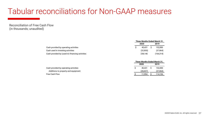Reconciliation of Free Cash Flow (in thousands; unaudited)

|                                                 | Three Months Ended March 31, |           |  |           |  |  |
|-------------------------------------------------|------------------------------|-----------|--|-----------|--|--|
|                                                 | 2020                         |           |  | 2019      |  |  |
| Cash provided by operating activities           |                              | 40.431    |  | 152,000   |  |  |
| Cash used in investing activities               |                              | (32, 850) |  | (37, 864) |  |  |
| Cash provided by (used in) financing activities |                              | 238.146   |  | (164,314) |  |  |

|                                       | Three Months Ended March 31, |      |           |  |  |
|---------------------------------------|------------------------------|------|-----------|--|--|
|                                       | 2020                         | 2019 |           |  |  |
| Cash provided by operating activities | 40.431                       |      | 152.000   |  |  |
| Additions to property and equipment   | (28,437)                     |      | (37, 864) |  |  |
| <b>Free Cash Flow</b>                 | 11.994                       |      | 114,136   |  |  |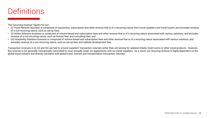#### **Definitions**

The "recurring revenue" figures for our:

- (i) Travel Network business is comprised of transaction, subscription and other revenue that is of a recurring nature from travel suppliers and travel buyers, and excludes revenue of a non-recurring nature, such as set-up fees;
- (ii) Airline Solutions business is comprised of volume-based and subscription fees and other revenue that is of a recurring nature associated with various solutions, and excludes revenue of a non-recurring nature, such as license fees and consulting fees; and
- (iii) Hospitality Solutions business is comprised of volume-based and subscription fees and other revenue that is of a recurring nature associated with various solutions, and excludes revenue of a non-recurring nature, such as set-up fees and website development fees.

Transaction revenues in (i), (ii) and (iii) are tied to a travel suppliers' transaction volumes rather than unit pricing for airplane tickets, hotel rooms or other travel products. However, this revenue is not generally contractually committed to recur annually under our agreements with our travel suppliers. As a result, our recurring revenue is highly dependent on the global travel industry and directly correlates with global travel, tourism and transportation transaction volumes.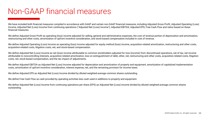#### Non-GAAP financial measures

We have included both financial measures compiled in accordance with GAAP and certain non-GAAP financial measures, including Adjusted Gross Profit, Adjusted Operating (Loss) Income, Adjusted Net (Loss) Income from continuing operations ("Adjusted Net (Loss) Income"), Adjusted EBITDA, Adjusted EPS, Free Cash Flow and ratios based on these financial measures.

We define Adjusted Gross Profit as operating (loss) income adjusted for selling, general and administrative expenses, the cost of revenue portion of depreciation and amortization, restructuring and other costs, amortization of upfront incentive consideration, and stock-based compensation included in cost of revenue.

We define Adjusted Operating (Loss) Income as operating (loss) income adjusted for equity method (loss) income, acquisition-related amortization, restructuring and other costs, acquisition-related costs, litigation costs, net, and stock-based compensation.

We define Adjusted Net (Loss) Income as net (loss) income attributable to common stockholders adjusted for loss (income) from discontinued operations, net of tax, net income attributable to noncontrolling interests, acquisition-related amortization, loss on extinguishment of debt, other, net, restructuring and other costs, acquisition-related costs, litigation costs, net, stock-based compensation, and the tax impact of adjustments.

We define Adjusted EBITDA as Adjusted Net (Loss) Income adjusted for depreciation and amortization of property and equipment, amortization of capitalized implementation costs, amortization of upfront incentive consideration, interest expense, net, and the remaining provision for income taxes.

We define Adjusted EPS as Adjusted Net (Loss) Income divided by diluted weighted-average common shares outstanding.

We define Free Cash Flow as cash provided by operating activities less cash used in additions to property and equipment.

We define Adjusted Net (Loss) Income from continuing operations per share (EPS) as Adjusted Net (Loss) Income divided by diluted weighted-average common shares outstanding.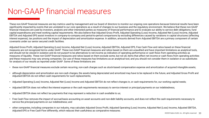#### Non-GAAP financial measures

These non-GAAP financial measures are key metrics used by management and our board of directors to monitor our ongoing core operations because historical results have been significantly impacted by events that are unrelated to our core operations as a result of changes to our business and the regulatory environment. We believe that these non-GAAP financial measures are used by investors, analysts and other interested parties as measures of financial performance and to evaluate our ability to service debt obligations, fund capital expenditures and meet working capital requirements. We also believe that Adjusted Gross Profit, Adjusted Operating (Loss) Income, Adjusted Net (Loss) Income, Adjusted EBITDA and Adjusted EPS assist investors in company-to-company and period-to-period comparisons by excluding differences caused by variations in capital structures (affecting interest expense), tax positions and the impact of depreciation and amortization expense. In addition, amounts derived from Adjusted EBITDA are a primary component of certain covenants under our senior secured credit facilities.

Adjusted Gross Profit, Adjusted Operating (Loss) Income, Adjusted Net (Loss) Income, Adjusted EBITDA, Adjusted EPS, Free Cash Flow and ratios based on these financial measures are not recognized terms under GAAP. These non-GAAP financial measures and ratios based on them are unaudited and have important limitations as analytical tools, and should not be viewed in isolation and do not purport to be alternatives to net income as indicators of operating performance or cash flows from operating activities as measures of liquidity. These non-GAAP financial measures and ratios based on them exclude some, but not all, items that affect net income or cash flows from operating activities and these measures may vary among companies. Our use of these measures has limitations as an analytical tool, and you should not consider them in isolation or as substitutes for analysis of our results as reported under GAAP. Some of these limitations are:

- these non-GAAP financial measures exclude certain recurring, non-cash charges such as stock-based compensation expense and amortization of acquired intangible assets;
- although depreciation and amortization are non-cash charges, the assets being depreciated and amortized may have to be replaced in the future, and Adjusted Gross Profit and Adjusted EBITDA do not reflect cash requirements for such replacements;
- Adjusted Operating (Loss) Income, Adjusted Net (Loss) Income and Adjusted EBITDA do not reflect changes in, or cash requirements for, our working capital needs;
- Adjusted EBITDA does not reflect the interest expense or the cash requirements necessary to service interest or principal payments on our indebtedness;
- Adjusted EBITDA does not reflect tax payments that may represent a reduction in cash available to us;
- Free Cash Flow removes the impact of accrual-basis accounting on asset accounts and non-debt liability accounts, and does not reflect the cash requirements necessary to service the principal payments on our indebtedness; and
- other companies, including companies in our industry, may calculate Adjusted Gross Profit, Adjusted Operating (Loss) Income, Adjusted Net (Loss) Income, Adjusted EBITDA, Adjusted EPS or Free Cash Flow differently, which reduces their usefulness as comparative measures.